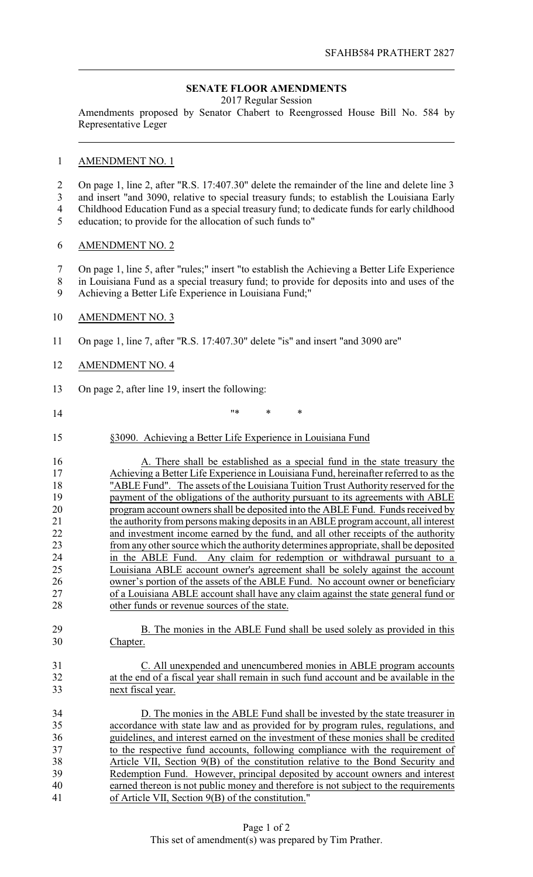## **SENATE FLOOR AMENDMENTS**

2017 Regular Session

Amendments proposed by Senator Chabert to Reengrossed House Bill No. 584 by Representative Leger

## AMENDMENT NO. 1

- On page 1, line 2, after "R.S. 17:407.30" delete the remainder of the line and delete line 3 and insert "and 3090, relative to special treasury funds; to establish the Louisiana Early
- Childhood Education Fund as a special treasury fund; to dedicate funds for early childhood
- education; to provide for the allocation of such funds to"

#### AMENDMENT NO. 2

- On page 1, line 5, after "rules;" insert "to establish the Achieving a Better Life Experience
- in Louisiana Fund as a special treasury fund; to provide for deposits into and uses of the
- Achieving a Better Life Experience in Louisiana Fund;"

## 10 AMENDMENT NO. 3

- On page 1, line 7, after "R.S. 17:407.30" delete "is" and insert "and 3090 are"
- AMENDMENT NO. 4

On page 2, after line 19, insert the following:

- "\* \* \*
- §3090. Achieving a Better Life Experience in Louisiana Fund

 A. There shall be established as a special fund in the state treasury the Achieving a Better Life Experience in Louisiana Fund, hereinafter referred to as the The Table Fund". The assets of the Louisiana Tuition Trust Authority reserved for the payment of the obligations of the authority pursuant to its agreements with ABLE payment of the obligations of the authority pursuant to its agreements with ABLE program account owners shall be deposited into the ABLE Fund. Funds received by 21 the authority from persons making deposits in an ABLE program account, all interest 22 and investment income earned by the fund, and all other receipts of the authority and investment income earned by the fund, and all other receipts of the authority from any other source which the authority determines appropriate, shall be deposited in the ABLE Fund. Any claim for redemption or withdrawal pursuant to a Louisiana ABLE account owner's agreement shall be solely against the account owner's portion of the assets of the ABLE Fund. No account owner or beneficiary of a Louisiana ABLE account shall have any claim against the state general fund or 28 other funds or revenue sources of the state.

- 29 B. The monies in the ABLE Fund shall be used solely as provided in this Chapter.
- C. All unexpended and unencumbered monies in ABLE program accounts at the end of a fiscal year shall remain in such fund account and be available in the next fiscal year.

 D. The monies in the ABLE Fund shall be invested by the state treasurer in accordance with state law and as provided for by program rules, regulations, and guidelines, and interest earned on the investment of these monies shall be credited to the respective fund accounts, following compliance with the requirement of Article VII, Section 9(B) of the constitution relative to the Bond Security and Redemption Fund. However, principal deposited by account owners and interest earned thereon is not public money and therefore is not subject to the requirements of Article VII, Section 9(B) of the constitution."